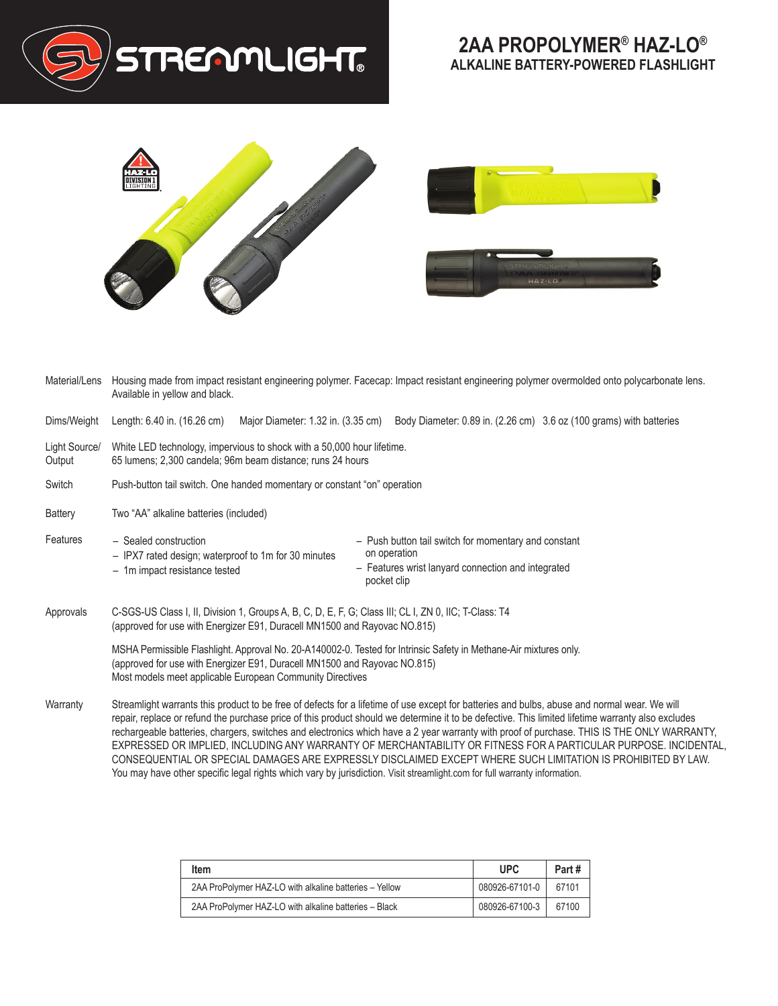





| Material/Lens           | Housing made from impact resistant engineering polymer. Facecap: Impact resistant engineering polymer overmolded onto polycarbonate lens.<br>Available in yellow and black.                                                                                                                                                                                                                                                                                                                                                                                                                                                                                                         |  |  |  |  |
|-------------------------|-------------------------------------------------------------------------------------------------------------------------------------------------------------------------------------------------------------------------------------------------------------------------------------------------------------------------------------------------------------------------------------------------------------------------------------------------------------------------------------------------------------------------------------------------------------------------------------------------------------------------------------------------------------------------------------|--|--|--|--|
| Dims/Weight             | Length: 6.40 in. (16.26 cm)<br>Major Diameter: 1.32 in. (3.35 cm)<br>Body Diameter: 0.89 in. (2.26 cm) 3.6 oz (100 grams) with batteries                                                                                                                                                                                                                                                                                                                                                                                                                                                                                                                                            |  |  |  |  |
| Light Source/<br>Output | White LED technology, impervious to shock with a 50,000 hour lifetime.<br>65 lumens; 2,300 candela; 96m beam distance; runs 24 hours                                                                                                                                                                                                                                                                                                                                                                                                                                                                                                                                                |  |  |  |  |
| Switch                  | Push-button tail switch. One handed momentary or constant "on" operation                                                                                                                                                                                                                                                                                                                                                                                                                                                                                                                                                                                                            |  |  |  |  |
| Battery                 | Two "AA" alkaline batteries (included)                                                                                                                                                                                                                                                                                                                                                                                                                                                                                                                                                                                                                                              |  |  |  |  |
| Features                | - Sealed construction<br>- Push button tail switch for momentary and constant<br>on operation<br>- IPX7 rated design; waterproof to 1m for 30 minutes<br>- Features wrist lanyard connection and integrated<br>- 1m impact resistance tested<br>pocket clip                                                                                                                                                                                                                                                                                                                                                                                                                         |  |  |  |  |
| Approvals               | C-SGS-US Class I, II, Division 1, Groups A, B, C, D, E, F, G; Class III; CL I, ZN 0, IIC; T-Class: T4<br>(approved for use with Energizer E91, Duracell MN1500 and Rayovac NO.815)                                                                                                                                                                                                                                                                                                                                                                                                                                                                                                  |  |  |  |  |
|                         | MSHA Permissible Flashlight. Approval No. 20-A140002-0. Tested for Intrinsic Safety in Methane-Air mixtures only.<br>(approved for use with Energizer E91, Duracell MN1500 and Rayovac NO.815)<br>Most models meet applicable European Community Directives                                                                                                                                                                                                                                                                                                                                                                                                                         |  |  |  |  |
| Warranty                | Streamlight warrants this product to be free of defects for a lifetime of use except for batteries and bulbs, abuse and normal wear. We will<br>repair, replace or refund the purchase price of this product should we determine it to be defective. This limited lifetime warranty also excludes<br>rechargeable batteries, chargers, switches and electronics which have a 2 year warranty with proof of purchase. THIS IS THE ONLY WARRANTY,<br>EXPRESSED OR IMPLIED, INCLUDING ANY WARRANTY OF MERCHANTABILITY OR FITNESS FOR A PARTICULAR PURPOSE. INCIDENTAL,<br>CONSEQUENTIAL OR SPECIAL DAMAGES ARE EXPRESSLY DISCLAIMED EXCEPT WHERE SUCH LIMITATION IS PROHIBITED BY LAW. |  |  |  |  |

|  | You may have other specific legal rights which vary by jurisdiction. Visit streamlight.com for full warranty information. |  |
|--|---------------------------------------------------------------------------------------------------------------------------|--|
|  |                                                                                                                           |  |

| Item                                                   | UPC.           | Part# |
|--------------------------------------------------------|----------------|-------|
| 2AA ProPolymer HAZ-LO with alkaline batteries - Yellow | 080926-67101-0 | 67101 |
| 2AA ProPolymer HAZ-LO with alkaline batteries - Black  | 080926-67100-3 | 67100 |